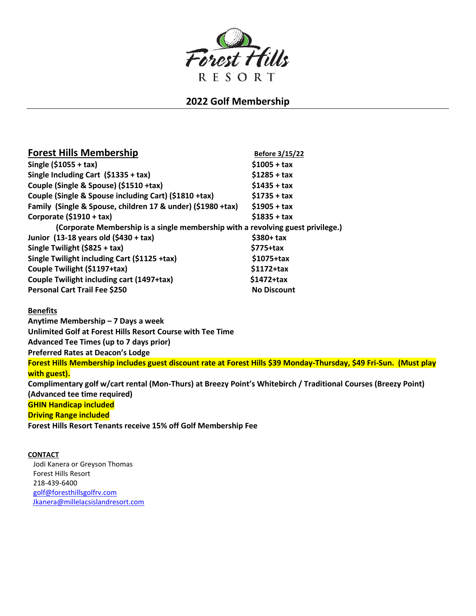

## **2022 Golf Membership**

| <b>Forest Hills Membership</b>                                                  | Before 3/15/22     |
|---------------------------------------------------------------------------------|--------------------|
| Single $($1055 + tax)$                                                          | $$1005 + tax$      |
| Single Including Cart (\$1335 + tax)                                            | $$1285 + tax$      |
| Couple (Single & Spouse) (\$1510 +tax)                                          | $$1435 + tax$      |
| Couple (Single & Spouse including Cart) (\$1810 +tax)                           | $$1735 + tax$      |
| Family (Single & Spouse, children 17 & under) (\$1980 +tax)                     | $$1905 + tax$      |
| Corporate (\$1910 + tax)                                                        | $$1835 + tax$      |
| (Corporate Membership is a single membership with a revolving guest privilege.) |                    |
| Junior (13-18 years old (\$430 + tax)                                           | $$380+ tax$        |
| Single Twilight (\$825 + tax)                                                   | $$775+tax$         |
| Single Twilight including Cart (\$1125 +tax)                                    | $$1075+tax$        |
| Couple Twilight (\$1197+tax)                                                    | $$1172+tax$        |
| Couple Twilight including cart (1497+tax)                                       | $$1472+tax$        |
| <b>Personal Cart Trail Fee \$250</b>                                            | <b>No Discount</b> |

## **Benefits**

**Anytime Membership – 7 Days a week Unlimited Golf at Forest Hills Resort Course with Tee Time Advanced Tee Times (up to 7 days prior) Preferred Rates at Deacon's Lodge Forest Hills Membership includes guest discount rate at Forest Hills \$39 Monday-Thursday, \$49 Fri-Sun. (Must play with guest). Complimentary golf w/cart rental (Mon-Thurs) at Breezy Point's Whitebirch / Traditional Courses (Breezy Point) (Advanced tee time required) GHIN Handicap included Driving Range included Forest Hills Resort Tenants receive 15% off Golf Membership Fee**

**CONTACT** Jodi Kanera or Greyson Thomas Forest Hills Resort 218-439-6400 [golf@foresthillsgolfrv.com](mailto:golf@foresthillsgolfrv.com) [Jkanera@millelacsislandresort.com](mailto:Jkanera@millelacsislandresort.com)